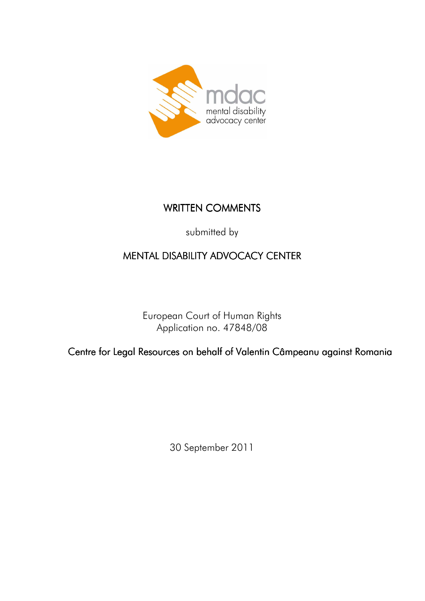

## WRITTEN COMMENTS

submitted by

# MENTAL DISABILITY ADVOCACY CENTER

European Court of Human Rights Application no. 47848/08

Centre for Legal Resources on behalf of Valentin Câmpeanu against Romania

30 September 2011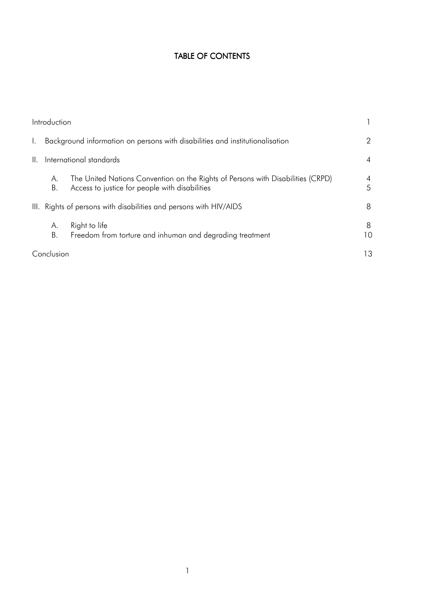### TABLE OF CONTENTS

| Introduction |                                                                              |                                                                                                                                   |                     |
|--------------|------------------------------------------------------------------------------|-----------------------------------------------------------------------------------------------------------------------------------|---------------------|
| $\mathbf{L}$ | Background information on persons with disabilities and institutionalisation |                                                                                                                                   | 2                   |
| II.          | International standards                                                      |                                                                                                                                   | 4                   |
|              | А.<br>Β.                                                                     | The United Nations Convention on the Rights of Persons with Disabilities (CRPD)<br>Access to justice for people with disabilities | $\overline{4}$<br>5 |
|              | III. Rights of persons with disabilities and persons with HIV/AIDS           |                                                                                                                                   | 8                   |
|              | А.<br>В.                                                                     | Right to life<br>Freedom from torture and inhuman and degrading treatment                                                         | 8<br>10             |
|              | Conclusion                                                                   |                                                                                                                                   |                     |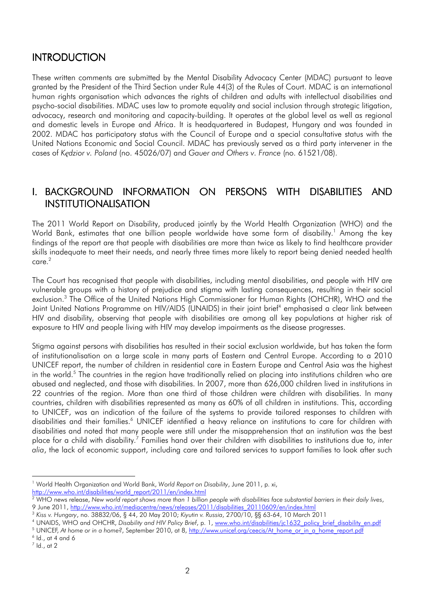## **INTRODUCTION**

These written comments are submitted by the Mental Disability Advocacy Center (MDAC) pursuant to leave granted by the President of the Third Section under Rule 44(3) of the Rules of Court. MDAC is an international human rights organisation which advances the rights of children and adults with intellectual disabilities and psycho-social disabilities. MDAC uses law to promote equality and social inclusion through strategic litigation, advocacy, research and monitoring and capacity-building. It operates at the global level as well as regional and domestic levels in Europe and Africa. It is headquartered in Budapest, Hungary and was founded in 2002. MDAC has participatory status with the Council of Europe and a special consultative status with the United Nations Economic and Social Council. MDAC has previously served as a third party intervener in the cases of *Kędzior v. Poland* (no. 45026/07) and *Gauer and Others v. France* (no. 61521/08).

### I. BACKGROUND INFORMATION ON PERSONS WITH DISABILITIES AND INSTITUTIONALISATION

The 2011 World Report on Disability, produced jointly by the World Health Organization (WHO) and the World Bank, estimates that one billion people worldwide have some form of disability.<sup>1</sup> Among the key findings of the report are that people with disabilities are more than twice as likely to find healthcare provider skills inadequate to meet their needs, and nearly three times more likely to report being denied needed health care.<sup>2</sup>

The Court has recognised that people with disabilities, including mental disabilities, and people with HIV are vulnerable groups with a history of prejudice and stigma with lasting consequences, resulting in their social exclusion.<sup>3</sup> The Office of the United Nations High Commissioner for Human Rights (OHCHR), WHO and the Joint United Nations Programme on HIV/AIDS (UNAIDS) in their joint brief<sup>4</sup> emphasised a clear link between HIV and disability, observing that people with disabilities are among all key populations at higher risk of exposure to HIV and people living with HIV may develop impairments as the disease progresses.

Stigma against persons with disabilities has resulted in their social exclusion worldwide, but has taken the form of institutionalisation on a large scale in many parts of Eastern and Central Europe. According to a 2010 UNICEF report, the number of children in residential care in Eastern Europe and Central Asia was the highest in the world.<sup>5</sup> The countries in the region have traditionally relied on placing into institutions children who are abused and neglected, and those with disabilities. In 2007, more than 626,000 children lived in institutions in 22 countries of the region. More than one third of those children were children with disabilities. In many countries, children with disabilities represented as many as 60% of all children in institutions. This, according to UNICEF, was an indication of the failure of the systems to provide tailored responses to children with disabilities and their families.<sup>6</sup> UNICEF identified a heavy reliance on institutions to care for children with disabilities and noted that many people were still under the misapprehension that an institution was the best place for a child with disability.<sup>7</sup> Families hand over their children with disabilities to institutions due to, *inter alia*, the lack of economic support, including care and tailored services to support families to look after such

<sup>1</sup> World Health Organization and World Bank, *World Report on Disability*, June 2011, p. xi, http://www.who.int/disabilities/world\_report/2011/en/index.html

<sup>2</sup> WHO news release, *New world report shows more than 1 billion people with disabilities face substantial barriers in their daily lives*, 9 June 2011, http://www.who.int/mediacentre/news/releases/2011/disabilities\_20110609/en/index.html

<sup>3</sup> *Kiss v. Hungary*, no. 38832/06, § 44, 20 May 2010; *Kiyutin v. Russia*, 2700/10, §§ 63-64, 10 March 2011

<sup>4</sup> UNAIDS, WHO and OHCHR, *Disability and HIV Policy Brief*, p. 1, www.who.int/disabilities/jc1632\_policy\_brief\_disability\_en.pdf

<sup>&</sup>lt;sup>5</sup> UNICEF, At home or in a home?, September 2010, at 8, <u>http://www.unicef.org/ceecis/At\_home\_or\_in\_a\_home\_report.pdf</u>

<sup>6</sup> Id., at 4 and 6

 $<sup>7</sup>$  ld., at 2</sup>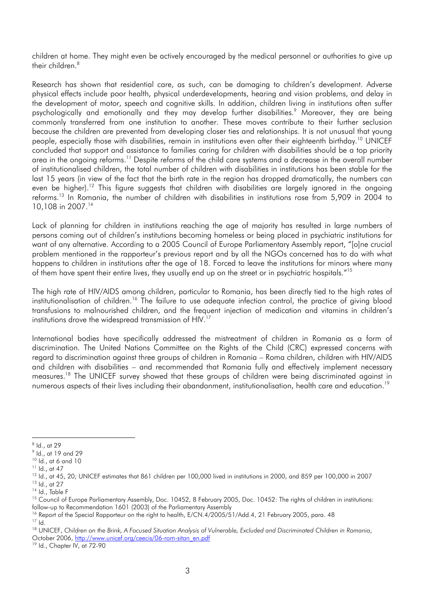children at home. They might even be actively encouraged by the medical personnel or authorities to give up their children.<sup>8</sup>

Research has shown that residential care, as such, can be damaging to children's development. Adverse physical effects include poor health, physical underdevelopments, hearing and vision problems, and delay in the development of motor, speech and cognitive skills. In addition, children living in institutions often suffer psychologically and emotionally and they may develop further disabilities.<sup>9</sup> Moreover, they are being commonly transferred from one institution to another. These moves contribute to their further seclusion because the children are prevented from developing closer ties and relationships. It is not unusual that young people, especially those with disabilities, remain in institutions even after their eighteenth birthday.<sup>10</sup> UNICEF concluded that support and assistance to families caring for children with disabilities should be a top priority area in the ongoing reforms.<sup>11</sup> Despite reforms of the child care systems and a decrease in the overall number of institutionalised children, the total number of children with disabilities in institutions has been stable for the last 15 years (in view of the fact that the birth rate in the region has dropped dramatically, the numbers can even be higher).<sup>12</sup> This figure suggests that children with disabilities are largely ignored in the ongoing reforms.<sup>13</sup> In Romania, the number of children with disabilities in institutions rose from 5,909 in 2004 to 10,108 in 2007.<sup>14</sup>

Lack of planning for children in institutions reaching the age of majority has resulted in large numbers of persons coming out of children's institutions becoming homeless or being placed in psychiatric institutions for want of any alternative. According to a 2005 Council of Europe Parliamentary Assembly report, "[o]ne crucial problem mentioned in the rapporteur's previous report and by all the NGOs concerned has to do with what happens to children in institutions after the age of 18. Forced to leave the institutions for minors where many of them have spent their entire lives, they usually end up on the street or in psychiatric hospitals."<sup>15</sup>

The high rate of HIV/AIDS among children, particular to Romania, has been directly tied to the high rates of institutionalisation of children.<sup>16</sup> The failure to use adequate infection control, the practice of giving blood transfusions to malnourished children, and the frequent injection of medication and vitamins in children's institutions drove the widespread transmission of HIV.<sup>17</sup>

International bodies have specifically addressed the mistreatment of children in Romania as a form of discrimination. The United Nations Committee on the Rights of the Child (CRC) expressed concerns with regard to discrimination against three groups of children in Romania – Roma children, children with HIV/AIDS and children with disabilities – and recommended that Romania fully and effectively implement necessary measures.<sup>18</sup> The UNICEF survey showed that these groups of children were being discriminated against in numerous aspects of their lives including their abandonment, institutionalisation, health care and education.<sup>19</sup>

 $\overline{a}$ 

- <sup>16</sup> Report of the Special Rapporteur on the right to health, E/CN.4/2005/51/Add.4, 21 February 2005, para. 48
- <sup>17</sup> Id.

19 Id., Chapter IV, at 72-90

<sup>&</sup>lt;sup>8</sup> ld., at 29

<sup>9</sup> Id., at 19 and 29

<sup>10</sup> Id., at 6 and 10

<sup>11</sup> Id., at 47

<sup>&</sup>lt;sup>12</sup> Id., at 45, 20; UNICEF estimates that 861 children per 100,000 lived in institutions in 2000, and 859 per 100,000 in 2007 <sup>13</sup> Id., at 27

<sup>14</sup> Id., Table F

<sup>&</sup>lt;sup>15</sup> Council of Europe Parliamentary Assembly, Doc. 10452, 8 February 2005, Doc. 10452: The rights of children in institutions: follow-up to Recommendation 1601 (2003) of the Parliamentary Assembly

<sup>18</sup> UNICEF, *Children on the Brink, A Focused Situation Analysis of Vulnerable, Excluded and Discriminated Children in Romania*, October 2006, http://www.unicef.org/ceecis/06-rom-sitan\_en.pdf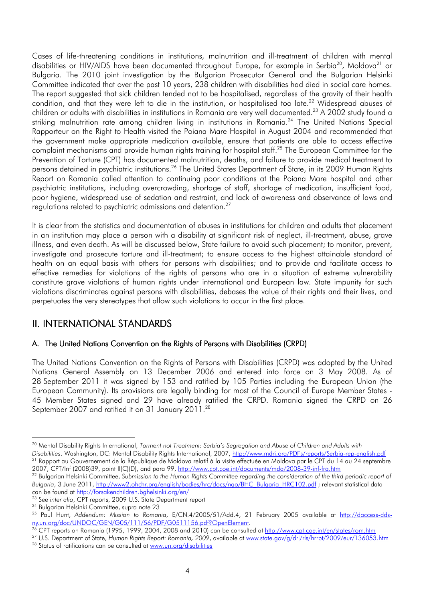Cases of life-threatening conditions in institutions, malnutrition and ill-treatment of children with mental disabilities or HIV/AIDS have been documented throughout Europe, for example in Serbia<sup>20</sup>, Moldova<sup>21</sup> or Bulgaria. The 2010 joint investigation by the Bulgarian Prosecutor General and the Bulgarian Helsinki Committee indicated that over the past 10 years, 238 children with disabilities had died in social care homes. The report suggested that sick children tended not to be hospitalised, regardless of the gravity of their health condition, and that they were left to die in the institution, or hospitalised too late.<sup>22</sup> Widespread abuses of children or adults with disabilities in institutions in Romania are very well documented.<sup>23</sup> A 2002 study found a striking malnutrition rate among children living in institutions in Romania.<sup>24</sup> The United Nations Special Rapporteur on the Right to Health visited the Poiana Mare Hospital in August 2004 and recommended that the government make appropriate medication available, ensure that patients are able to access effective complaint mechanisms and provide human rights training for hospital staff.<sup>25</sup> The European Committee for the Prevention of Torture (CPT) has documented malnutrition, deaths, and failure to provide medical treatment to persons detained in psychiatric institutions.<sup>26</sup> The United States Department of State, in its 2009 Human Rights Report on Romania called attention to continuing poor conditions at the Poiana Mare hospital and other psychiatric institutions, including overcrowding, shortage of staff, shortage of medication, insufficient food, poor hygiene, widespread use of sedation and restraint, and lack of awareness and observance of laws and regulations related to psychiatric admissions and detention.<sup>27</sup>

It is clear from the statistics and documentation of abuses in institutions for children and adults that placement in an institution may place a person with a disability at significant risk of neglect, ill-treatment, abuse, grave illness, and even death. As will be discussed below, State failure to avoid such placement; to monitor, prevent, investigate and prosecute torture and ill-treatment; to ensure access to the highest attainable standard of health on an equal basis with others for persons with disabilities; and to provide and facilitate access to effective remedies for violations of the rights of persons who are in a situation of extreme vulnerability constitute grave violations of human rights under international and European law. State impunity for such violations discriminates against persons with disabilities, debases the value of their rights and their lives, and perpetuates the very stereotypes that allow such violations to occur in the first place.

### **II. INTERNATIONAL STANDARDS**

#### A. The United Nations Convention on the Rights of Persons with Disabilities (CRPD)

The United Nations Convention on the Rights of Persons with Disabilities (CRPD) was adopted by the United Nations General Assembly on 13 December 2006 and entered into force on 3 May 2008. As of 28 September 2011 it was signed by 153 and ratified by 105 Parties including the European Union (the European Community). Its provisions are legally binding for most of the Council of Europe Member States - 45 Member States signed and 29 have already ratified the CRPD. Romania signed the CRPD on 26 September 2007 and ratified it on 31 January 2011. $^{28}$ 

<sup>&</sup>lt;sup>20</sup> Mental Disability Rights International, *Torment not Treatment: Serbia's Segregation and Abuse of Children and Adults with* Disabilities. Washington, DC: Mental Disability Rights International, 2007, http://www.mdri.org/PDFs/reports/Serbia-rep-english.pdf <sup>21</sup> Rapport au Gouvernement de la République de Moldova relatif à la visite effectuée en Moldova par le CPT du 14 au 24 septembre

<sup>2007,</sup> CPT/Inf (2008)39, point II(C)(D), and para 99, http://www.cpt.coe.int/documents/mda/2008-39-inf-fra.htm

<sup>&</sup>lt;sup>22</sup> Bulgarian Helsinki Committee, Submission to the Human Rights Committee regarding the consideration of the third periodic report of *Bulgaria*, 3 June 2011, http://www2.ohchr.org/english/bodies/hrc/docs/ngo/BHC\_Bulgaria\_HRC102.pdf ; relevant statistical data can be found at http://forsakenchildren.bghelsinki.org/en/

<sup>23</sup> See *inter alia*, CPT reports, 2009 U.S. State Department report

<sup>24</sup> Bulgarian Helsinki Committee, supra note 23

<sup>25</sup> Paul Hunt, *Addendum: Mission to Romania*, E/CN.4/2005/51/Add.4, 21 February 2005 available at http://daccess-ddsny.un.org/doc/UNDOC/GEN/G05/111/56/PDF/G0511156.pdf?OpenElement.

<sup>&</sup>lt;sup>26</sup> CPT reports on Romania (1995, 1999, 2004, 2008 and 2010) can be consulted at http://www.cpt.coe.int/en/states/rom.htm

<sup>&</sup>lt;sup>27</sup> U.S. Department of State, *Human Rights Report: Romania, 2009*, available at www.state.gov/g/drl/rls/hrrpt/2009/eur/136053.htm

<sup>&</sup>lt;sup>28</sup> Status of ratifications can be consulted at www.un.org/disabilities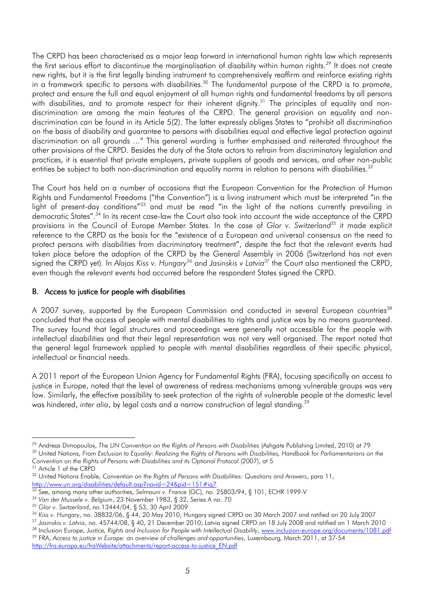The CRPD has been characterised as a major leap forward in international human rights law which represents the first serious effort to discontinue the marginalisation of disability within human rights.<sup>29</sup> It does not create new rights, but it is the first legally binding instrument to comprehensively reaffirm and reinforce existing rights in a framework specific to persons with disabilities.<sup>30</sup> The fundamental purpose of the CRPD is to promote, protect and ensure the full and equal enjoyment of all human rights and fundamental freedoms by all persons with disabilities, and to promote respect for their inherent dignity.<sup>31</sup> The principles of equality and nondiscrimination are among the main features of the CRPD. The general provision on equality and nondiscrimination can be found in its Article 5(2). The latter expressly obliges States to "prohibit all discrimination on the basis of disability and guarantee to persons with disabilities equal and effective legal protection against discrimination on all grounds ..." This general wording is further emphasised and reiterated throughout the other provisions of the CRPD. Besides the duty of the State actors to refrain from discriminatory legislation and practices, it is essential that private employers, private suppliers of goods and services, and other non-public entities be subject to both non-discrimination and equality norms in relation to persons with disabilities.<sup>32</sup>

The Court has held on a number of occasions that the European Convention for the Protection of Human Rights and Fundamental Freedoms ("the Convention") is a living instrument which must be interpreted "in the light of present-day conditions<sup>"33</sup> and must be read "in the light of the notions currently prevailing in democratic States".<sup>34</sup> In its recent case-law the Court also took into account the wide acceptance of the CRPD provisions in the Council of Europe Member States. In the case of *Glor v. Switzerland<sup>35</sup>* it made explicit reference to the CRPD as the basis for the "existence of a European and universal consensus on the need to protect persons with disabilities from discriminatory treatment", despite the fact that the relevant events had taken place before the adoption of the CRPD by the General Assembly in 2006 (Switzerland has not even signed the CRPD yet). In *Alajos Kiss v. Hungary*<sup>36</sup> and *Jasinskis v Latvia<sup>37</sup>* the Court also mentioned the CRPD, even though the relevant events had occurred before the respondent States signed the CRPD.

#### B. Access to justice for people with disabilities

A 2007 survey, supported by the European Commission and conducted in several European countries<sup>38</sup> concluded that the access of people with mental disabilities to rights and justice was by no means guaranteed. The survey found that legal structures and proceedings were generally not accessible for the people with intellectual disabilities and that their legal representation was not very well organised. The report noted that the general legal framework applied to people with mental disabilities regardless of their specific physical, intellectual or financial needs.

A 2011 report of the European Union Agency for Fundamental Rights (FRA), focusing specifically on access to justice in Europe, noted that the level of awareness of redress mechanisms among vulnerable groups was very low. Similarly, the effective possibility to seek protection of the rights of vulnerable people at the domestic level was hindered, *inter alia*, by legal costs and a narrow construction of legal standing.<sup>39</sup>

<sup>29</sup> Andreas Dimopoulos, *The UN Convention on the Rights of Persons with Disabilities* (Ashgate Publishing Limited, 2010) at 79 <sup>30</sup> United Nations, From Exclusion to Equality: Realizing the Rights of Persons with Disabilities, Handbook for Parliamentarians on the

*Convention on the Rights of Persons with Disabilities and its Optional Protocol* (2007), at 5

<sup>&</sup>lt;sup>31</sup> Article 1 of the CRPD

<sup>32</sup> United Nations Enable, *Convention on the Rights of Persons with Disabilities: Questions and Answers*, para 11, http://www.un.org/disabilities/default.asp?navid=24&pid=151#iq7

<sup>33</sup> See, among many other authorities, *Selmouni v. France* (GC), no. 25803/94, § 101, ECHR 1999-V

<sup>34</sup> *Van der Mussele v. Belgium*, 23 November 1983, § 32, Series A no. 70

<sup>35</sup> *Glor v. Switzerland*, no.13444/04, § 53, 30 April 2009

<sup>36</sup> *Kiss v. Hungary*, no. 38832/06, § 44, 20 May 2010; Hungary signed CRPD on 30 March 2007 and ratified on 20 July 2007

<sup>37</sup> *Jasinskis v. Latvia*, no. 45744/08, § 40, 21 December 2010; Latvia signed CRPD on 18 July 2008 and ratified on 1 March 2010

<sup>38</sup> Inclusion Europe, Justice, Rights and Inclusion for People with Intellectual Disability, www.inclusion-europe.org/documents/1081.pdf <sup>39</sup> FRA, *Access to justice in Europe: an overview of challenges and opportunities*, Luxembourg, March 2011, at 37-54

http://fra.europa.eu/fraWebsite/attachments/report-access-to-justice\_EN.pdf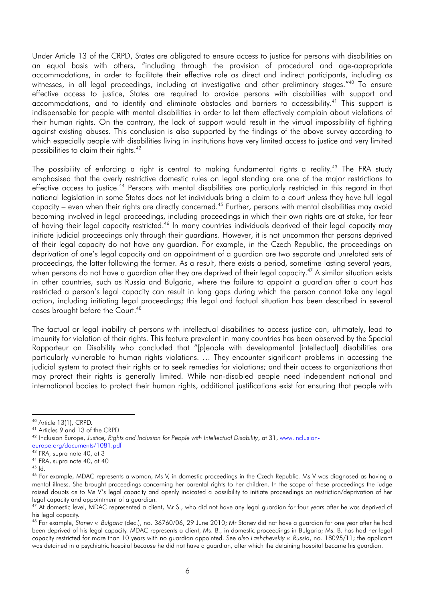Under Article 13 of the CRPD, States are obligated to ensure access to justice for persons with disabilities on an equal basis with others, "including through the provision of procedural and age-appropriate accommodations, in order to facilitate their effective role as direct and indirect participants, including as witnesses, in all legal proceedings, including at investigative and other preliminary stages."<sup>40</sup> To ensure effective access to justice, States are required to provide persons with disabilities with support and accommodations, and to identify and eliminate obstacles and barriers to accessibility.<sup>41</sup> This support is indispensable for people with mental disabilities in order to let them effectively complain about violations of their human rights. On the contrary, the lack of support would result in the virtual impossibility of fighting against existing abuses. This conclusion is also supported by the findings of the above survey according to which especially people with disabilities living in institutions have very limited access to justice and very limited possibilities to claim their rights. $42$ 

The possibility of enforcing a right is central to making fundamental rights a reality.<sup>43</sup> The FRA study emphasised that the overly restrictive domestic rules on legal standing are one of the major restrictions to effective access to justice.<sup>44</sup> Persons with mental disabilities are particularly restricted in this regard in that national legislation in some States does not let individuals bring a claim to a court unless they have full legal capacity – even when their rights are directly concerned.<sup>45</sup> Further, persons with mental disabilities may avoid becoming involved in legal proceedings, including proceedings in which their own rights are at stake, for fear of having their legal capacity restricted.<sup>46</sup> In many countries individuals deprived of their legal capacity may initiate judicial proceedings only through their guardians. However, it is not uncommon that persons deprived of their legal capacity do not have any guardian. For example, in the Czech Republic, the proceedings on deprivation of one's legal capacity and on appointment of a guardian are two separate and unrelated sets of proceedings, the latter following the former. As a result, there exists a period, sometime lasting several years, when persons do not have a guardian after they are deprived of their legal capacity.<sup>47</sup> A similar situation exists in other countries, such as Russia and Bulgaria, where the failure to appoint a guardian after a court has restricted a person's legal capacity can result in long gaps during which the person cannot take any legal action, including initiating legal proceedings; this legal and factual situation has been described in several cases brought before the Court.<sup>48</sup>

The factual or legal inability of persons with intellectual disabilities to access justice can, ultimately, lead to impunity for violation of their rights. This feature prevalent in many countries has been observed by the Special Rapporteur on Disability who concluded that "[p]eople with developmental [intellectual] disabilities are particularly vulnerable to human rights violations. … They encounter significant problems in accessing the judicial system to protect their rights or to seek remedies for violations; and their access to organizations that may protect their rights is generally limited. While non-disabled people need independent national and international bodies to protect their human rights, additional justifications exist for ensuring that people with

<sup>40</sup> Article 13(1), CRPD.

<sup>41</sup> Articles 9 and 13 of the CRPD

<sup>42</sup> Inclusion Europe, *Justice, Rights and Inclusion for People with Intellectual Disability*, at 31, www.inclusion-

europe.org/documents/1081.pdf

<sup>&</sup>lt;sup>43</sup> FRA, supra note 40, at 3

<sup>44</sup> FRA, supra note 40, at 40

<sup>45</sup> Id.

<sup>46</sup> For example, MDAC represents a woman, Ms V, in domestic proceedings in the Czech Republic. Ms V was diagnosed as having a mental illness. She brought proceedings concerning her parental rights to her children. In the scope of these proceedings the judge raised doubts as to Ms V's legal capacity and openly indicated a possibility to initiate proceedings on restriction/deprivation of her legal capacity and appointment of a guardian.

 $^{47}$  At domestic level, MDAC represented a client, Mr S., who did not have any legal guardian for four years after he was deprived of his legal capacity.

<sup>48</sup> For example, *Stanev v. Bulgaria* (dec.), no. 36760/06, 29 June 2010; Mr Stanev did not have a guardian for one year after he had been deprived of his legal capacity. MDAC represents a client, Ms. B., in domestic proceedings in Bulgaria; Ms. B. has had her legal capacity restricted for more than 10 years with no guardian appointed. See *also Lashchevskiy v. Russia*, no. 18095/11; the applicant was detained in a psychiatric hospital because he did not have a guardian, after which the detaining hospital became his guardian.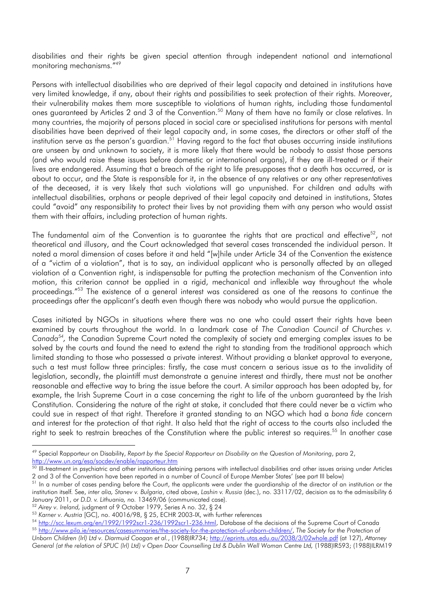disabilities and their rights be given special attention through independent national and international monitoring mechanisms."<sup>49</sup>

Persons with intellectual disabilities who are deprived of their legal capacity and detained in institutions have very limited knowledge, if any, about their rights and possibilities to seek protection of their rights. Moreover, their vulnerability makes them more susceptible to violations of human rights, including those fundamental ones guaranteed by Articles 2 and 3 of the Convention.<sup>50</sup> Many of them have no family or close relatives. In many countries, the majority of persons placed in social care or specialised institutions for persons with mental disabilities have been deprived of their legal capacity and, in some cases, the directors or other staff of the institution serve as the person's guardian.<sup>51</sup> Having regard to the fact that abuses occurring inside institutions are unseen by and unknown to society, it is more likely that there would be nobody to assist those persons (and who would raise these issues before domestic or international organs), if they are ill-treated or if their lives are endangered. Assuming that a breach of the right to life presupposes that a death has occurred, or is about to occur, and the State is responsible for it, in the absence of any relatives or any other representatives of the deceased, it is very likely that such violations will go unpunished. For children and adults with intellectual disabilities, orphans or people deprived of their legal capacity and detained in institutions, States could "avoid" any responsibility to protect their lives by not providing them with any person who would assist them with their affairs, including protection of human rights.

The fundamental aim of the Convention is to guarantee the rights that are practical and effective<sup>52</sup>, not theoretical and illusory, and the Court acknowledged that several cases transcended the individual person. It noted a moral dimension of cases before it and held "[w]hile under Article 34 of the Convention the existence of a "victim of a violation", that is to say, an individual applicant who is personally affected by an alleged violation of a Convention right, is indispensable for putting the protection mechanism of the Convention into motion, this criterion cannot be applied in a rigid, mechanical and inflexible way throughout the whole proceedings."<sup>53</sup> The existence of a general interest was considered as one of the reasons to continue the proceedings after the applicant's death even though there was nobody who would pursue the application.

Cases initiated by NGOs in situations where there was no one who could assert their rights have been examined by courts throughout the world. In a landmark case of *The Canadian Council of Churches v. Canada<sup>54</sup> ,* the Canadian Supreme Court noted the complexity of society and emerging complex issues to be solved by the courts and found the need to extend the right to standing from the traditional approach which limited standing to those who possessed a private interest. Without providing a blanket approval to everyone, such a test must follow three principles: firstly, the case must concern a serious issue as to the invalidity of legislation, secondly, the plaintiff must demonstrate a genuine interest and thirdly, there must not be another reasonable and effective way to bring the issue before the court. A similar approach has been adopted by, for example, the Irish Supreme Court in a case concerning the right to life of the unborn guaranteed by the Irish Constitution. Considering the nature of the right at stake, it concluded that there could never be a victim who could sue in respect of that right. Therefore it granted standing to an NGO which had a *bona fide* concern and interest for the protection of that right. It also held that the right of access to the courts also included the right to seek to restrain breaches of the Constitution where the public interest so requires.<sup>55</sup> In another case

<sup>49</sup> Special Rapporteur on Disability, *Report by the Special Rapporteur on Disability on the Question of Monitoring*, para 2, http://www.un.org/esa/socdev/enable/rapporteur.htm

 $^{50}$  III-treatment in psychiatric and other institutions detaining persons with intellectual disabilities and other issues arising under Articles 2 and 3 of the Convention have been reported in a number of Council of Europe Member States' (see part III below)

<sup>&</sup>lt;sup>51</sup> In a number of cases pending before the Court, the applicants were under the guardianship of the director of an institution or the institution itself. See, *inter alia, Stanev v. Bulgaria*, cited above, *Lashin v. Russia* (dec.), no. 33117/02, decision as to the admissibility 6 January 2011, or *D.D. v. Lithuania, no.* 13469/06 (communicated case).

<sup>52</sup> *Airey v. Ireland,* judgment of 9 October 1979, Series A no. 32, § 24

<sup>53</sup> *Karner v. Austria* [GC], no. 40016/98, § 25, ECHR 2003-IX, with further references

<sup>54</sup> http://scc.lexum.org/en/1992/1992scr1-236/1992scr1-236.html, Database of the decisions of the Supreme Court of Canada <sup>55</sup> http://www.pila.ie/resources/casesummaries/the-society-for-the-protection-of-unborn-children/, *The Society for the Protection of* 

*Unborn Children (Irl) Ltd v. Diarmuid Coogan et al.*, (1988)IR734; http://eprints.utas.edu.au/2038/3/02whole.pdf (at 127), *Attorney General (at the relation of SPUC (Irl) Ltd) v Open Door Counselling Ltd & Dublin Well Woman Centre Ltd,* (1988)IR593; (1988)ILRM19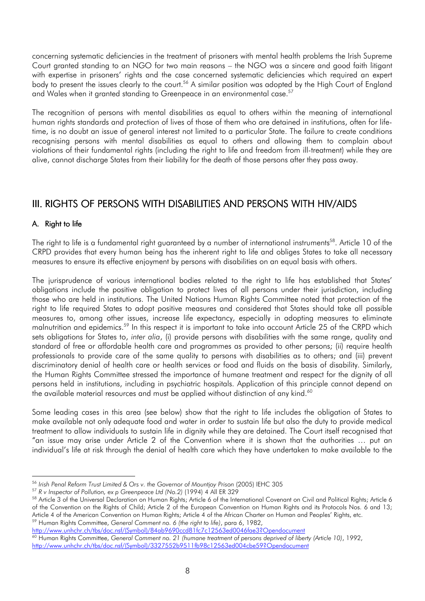concerning systematic deficiencies in the treatment of prisoners with mental health problems the Irish Supreme Court granted standing to an NGO for two main reasons – the NGO was a sincere and good faith litigant with expertise in prisoners' rights and the case concerned systematic deficiencies which required an expert body to present the issues clearly to the court.<sup>56</sup> A similar position was adopted by the High Court of England and Wales when it granted standing to Greenpeace in an environmental case. $^{57}$ 

The recognition of persons with mental disabilities as equal to others within the meaning of international human rights standards and protection of lives of those of them who are detained in institutions, often for lifetime, is no doubt an issue of general interest not limited to a particular State. The failure to create conditions recognising persons with mental disabilities as equal to others and allowing them to complain about violations of their fundamental rights (including the right to life and freedom from ill-treatment) while they are alive, cannot discharge States from their liability for the death of those persons after they pass away.

## III. RIGHTS OF PERSONS WITH DISABILITIES AND PERSONS WITH HIV/AIDS

#### A. Right to life

 $\overline{a}$ 

The right to life is a fundamental right guaranteed by a number of international instruments<sup>58</sup>. Article 10 of the CRPD provides that every human being has the inherent right to life and obliges States to take all necessary measures to ensure its effective enjoyment by persons with disabilities on an equal basis with others.

The jurisprudence of various international bodies related to the right to life has established that States' obligations include the positive obligation to protect lives of all persons under their jurisdiction, including those who are held in institutions. The United Nations Human Rights Committee noted that protection of the right to life required States to adopt positive measures and considered that States should take all possible measures to, among other issues, increase life expectancy, especially in adopting measures to eliminate malnutrition and epidemics.<sup>59</sup> In this respect it is important to take into account Article 25 of the CRPD which sets obligations for States to, *inter alia*, (i) provide persons with disabilities with the same range, quality and standard of free or affordable health care and programmes as provided to other persons; (ii) require health professionals to provide care of the same quality to persons with disabilities as to others; and (iii) prevent discriminatory denial of health care or health services or food and fluids on the basis of disability. Similarly, the Human Rights Committee stressed the importance of humane treatment and respect for the dignity of all persons held in institutions, including in psychiatric hospitals. Application of this principle cannot depend on the available material resources and must be applied without distinction of any kind. $^{60}$ 

Some leading cases in this area (see below) show that the right to life includes the obligation of States to make available not only adequate food and water in order to sustain life but also the duty to provide medical treatment to allow individuals to sustain life in dignity while they are detained. The Court itself recognised that "an issue may arise under Article 2 of the Convention where it is shown that the authorities … put an individual's life at risk through the denial of health care which they have undertaken to make available to the

http://www.unhchr.ch/tbs/doc.nsf/(Symbol)/84ab9690ccd81fc7c12563ed0046fae3?Opendocument

<sup>56</sup> *Irish Penal Reform Trust Limited & Ors v. the Governor of Mountjoy Prison* (2005) IEHC 305

<sup>57</sup> *R v Inspector of Pollution, ex p Greenpeace Ltd (No.2)* (1994) 4 All ER 329

<sup>&</sup>lt;sup>58</sup> Article 3 of the Universal Declaration on Human Rights; Article 6 of the International Covenant on Civil and Political Rights; Article 6 of the Convention on the Rights of Child; Article 2 of the European Convention on Human Rights and its Protocols Nos. 6 and 13; Article 4 of the American Convention on Human Rights; Article 4 of the African Charter on Human and Peoples' Rights, etc. <sup>59</sup> Human Rights Committee, *General Comment no. 6 (the right to life)*, para 6, 1982,

<sup>60</sup> Human Rights Committee, *General Comment no. 21 (humane treatment of persons deprived of liberty (Article 10)*, 1992, http://www.unhchr.ch/tbs/doc.nsf/(Symbol)/3327552b9511fb98c12563ed004cbe59?Opendocument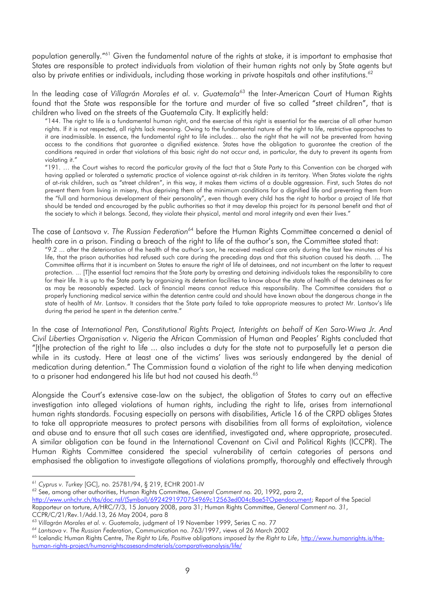population generally."<sup>61</sup> Given the fundamental nature of the rights at stake, it is important to emphasise that States are responsible to protect individuals from violation of their human rights not only by State agents but also by private entities or individuals, including those working in private hospitals and other institutions. $^{62}$ 

In the leading case of *Villagrán Morales et al. v. Guatemala<sup>63</sup>* the Inter-American Court of Human Rights found that the State was responsible for the torture and murder of five so called "street children", that is children who lived on the streets of the Guatemala City. It explicitly held:

"144. The right to life is a fundamental human right, and the exercise of this right is essential for the exercise of all other human rights. If it is not respected, all rights lack meaning. Owing to the fundamental nature of the right to life, restrictive approaches to it are inadmissible. In essence, the fundamental right to life includes… also the right that he will not be prevented from having access to the conditions that guarantee a dignified existence. States have the obligation to guarantee the creation of the conditions required in order that violations of this basic right do not occur and, in particular, the duty to prevent its agents from violating it."

"191. … the Court wishes to record the particular gravity of the fact that a State Party to this Convention can be charged with having applied or tolerated a systematic practice of violence against at-risk children in its territory. When States violate the rights of at-risk children, such as "street children", in this way, it makes them victims of a double aggression. First, such States do not prevent them from living in misery, thus depriving them of the minimum conditions for a dignified life and preventing them from the "full and harmonious development of their personality", even though every child has the right to harbor a project of life that should be tended and encouraged by the public authorities so that it may develop this project for its personal benefit and that of the society to which it belongs. Second, they violate their physical, mental and moral integrity and even their lives."

The case of Lantsova v. The Russian Federation<sup>64</sup> before the Human Rights Committee concerned a denial of health care in a prison. Finding a breach of the right to life of the author's son, the Committee stated that:

"9.2 ... after the deterioration of the health of the author's son, he received medical care only during the last few minutes of his life, that the prison authorities had refused such care during the preceding days and that this situation caused his death. ... The Committee affirms that it is incumbent on States to ensure the right of life of detainees, and not incumbent on the latter to request protection. ... [T]he essential fact remains that the State party by arresting and detaining individuals takes the responsibility to care for their life. It is up to the State party by organizing its detention facilities to know about the state of health of the detainees as far as may be reasonably expected. Lack of financial means cannot reduce this responsibility. The Committee considers that a properly functioning medical service within the detention centre could and should have known about the dangerous change in the state of health of Mr. Lantsov. It considers that the State party failed to take appropriate measures to protect Mr. Lantsov's life during the period he spent in the detention centre."

In the case of *International Pen, Constitutional Rights Project, Interights on behalf of Ken Saro-Wiwa Jr. And Civil Liberties Organisation v. Nigeria* the African Commission of Human and Peoples' Rights concluded that "[t]he protection of the right to life ... also includes a duty for the state not to purposefully let a person die while in its custody. Here at least one of the victims' lives was seriously endangered by the denial of medication during detention." The Commission found a violation of the right to life when denying medication to a prisoner had endangered his life but had not caused his death.<sup>65</sup>

Alongside the Court's extensive case-law on the subject, the obligation of States to carry out an effective investigation into alleged violations of human rights, including the right to life, arises from international human rights standards. Focusing especially on persons with disabilities, Article 16 of the CRPD obliges States to take all appropriate measures to protect persons with disabilities from all forms of exploitation, violence and abuse and to ensure that all such cases are identified, investigated and, where appropriate, prosecuted. A similar obligation can be found in the International Covenant on Civil and Political Rights (ICCPR). The Human Rights Committee considered the special vulnerability of certain categories of persons and emphasised the obligation to investigate allegations of violations promptly, thoroughly and effectively through

<sup>61</sup> *Cyprus v. Turkey* [GC], no. 25781/94, § 219, ECHR 2001-IV

<sup>62</sup> See, among other authorities, Human Rights Committee, *General Comment no. 20*, 1992, para 2,

http://www.unhchr.ch/tbs/doc.nsf/(Symbol)/6924291970754969c12563ed004c8ae5?Opendocument; Report of the Special Rapporteur on torture, A/HRC/7/3, 15 January 2008, para 31; Human Rights Committee, *General Comment no. 31*, CCPR/C/21/Rev.1/Add.13, 26 May 2004, para 8

<sup>63</sup> *Villagrán Morales et al. v. Guatemala*, judgment of 19 November 1999, Series C no. 77

*<sup>64</sup> Lantsova v. The Russian Federation*, Communication no. 763/1997, views of 26 March 2002

<sup>&</sup>lt;sup>65</sup> Icelandic Human Rights Centre, *The Right to Life, Positive obligations imposed by the Right to Life*, http://www.humanrights.is/thehuman-rights-project/humanrightscasesandmaterials/comparativeanalysis/life/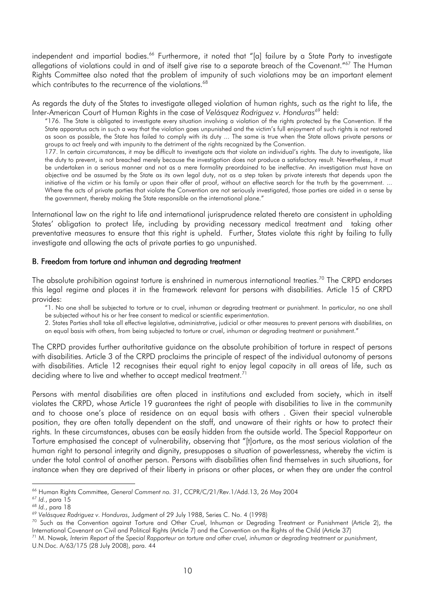independent and impartial bodies.<sup>66</sup> Furthermore, it noted that "[a] failure by a State Party to investigate allegations of violations could in and of itself give rise to a separate breach of the Covenant."<sup>67</sup> The Human Rights Committee also noted that the problem of impunity of such violations may be an important element which contributes to the recurrence of the violations. $^{68}$ 

As regards the duty of the States to investigate alleged violation of human rights, such as the right to life, the Inter-American Court of Human Rights in the case of *Velásquez Rodriguez v. Honduras*<sup>69</sup> held:

"176. The State is obligated to investigate every situation involving a violation of the rights protected by the Convention. If the State apparatus acts in such a way that the violation goes unpunished and the victim's full enjoyment of such rights is not restored as soon as possible, the State has failed to comply with its duty ... The same is true when the State allows private persons or groups to act freely and with impunity to the detriment of the rights recognized by the Convention.

177. In certain circumstances, it may be difficult to investigate acts that violate an individual's rights. The duty to investigate, like the duty to prevent, is not breached merely because the investigation does not produce a satisfactory result. Nevertheless, it must be undertaken in a serious manner and not as a mere formality preordained to be ineffective. An investigation must have an objective and be assumed by the State as its own legal duty, not as a step taken by private interests that depends upon the initiative of the victim or his family or upon their offer of proof, without an effective search for the truth by the government. ... Where the acts of private parties that violate the Convention are not seriously investigated, those parties are aided in a sense by the government, thereby making the State responsible on the international plane."

International law on the right to life and international jurisprudence related thereto are consistent in upholding States' obligation to protect life, including by providing necessary medical treatment and taking other preventative measures to ensure that this right is upheld. Further, States violate this right by failing to fully investigate and allowing the acts of private parties to go unpunished.

#### B. Freedom from torture and inhuman and degrading treatment

The absolute prohibition against torture is enshrined in numerous international treaties.<sup>70</sup> The CRPD endorses this legal regime and places it in the framework relevant for persons with disabilities. Article 15 of CRPD provides:

"1. No one shall be subjected to torture or to cruel, inhuman or degrading treatment or punishment. In particular, no one shall be subjected without his or her free consent to medical or scientific experimentation.

2. States Parties shall take all effective legislative, administrative, judicial or other measures to prevent persons with disabilities, on an equal basis with others, from being subjected to torture or cruel, inhuman or degrading treatment or punishment."

The CRPD provides further authoritative guidance on the absolute prohibition of torture in respect of persons with disabilities. Article 3 of the CRPD proclaims the principle of respect of the individual autonomy of persons with disabilities. Article 12 recognises their equal right to enjoy legal capacity in all areas of life, such as deciding where to live and whether to accept medical treatment.<sup>7</sup>

Persons with mental disabilities are often placed in institutions and excluded from society, which in itself violates the CRPD, whose Article 19 guarantees the right of people with disabilities to live in the community and to choose one's place of residence on an equal basis with others . Given their special vulnerable position, they are often totally dependent on the staff, and unaware of their rights or how to protect their rights. In these circumstances, abuses can be easily hidden from the outside world. The Special Rapporteur on Torture emphasised the concept of vulnerability, observing that "[t]orture, as the most serious violation of the human right to personal integrity and dignity, presupposes a situation of powerlessness, whereby the victim is under the total control of another person. Persons with disabilities often find themselves in such situations, for instance when they are deprived of their liberty in prisons or other places, or when they are under the control

<sup>66</sup> Human Rights Committee, *General Comment no. 31*, CCPR/C/21/Rev.1/Add.13, 26 May 2004

<sup>67</sup> *Id.*, para 15

<sup>68</sup> *Id.*, para 18

<sup>69</sup> *Velásquez Rodriguez v. Honduras*, Judgment of 29 July 1988, Series C. No. 4 (1998)

<sup>&</sup>lt;sup>70</sup> Such as the Convention against Torture and Other Cruel, Inhuman or Degrading Treatment or Punishment (Article 2), the International Covenant on Civil and Political Rights (Article 7) and the Convention on the Rights of the Child (Article 37)

<sup>71</sup> M. Nowak*, Interim Report of the Special Rapporteur on torture and other cruel, inhuman or degrading treatment or punishment*,

U.N.Doc. A/63/175 (28 July 2008), para. 44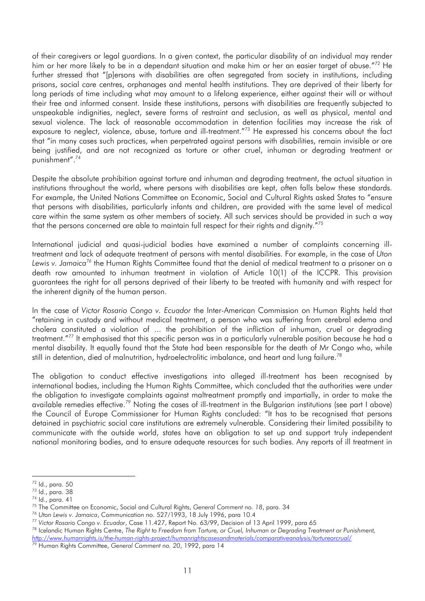of their caregivers or legal guardians. In a given context, the particular disability of an individual may render him or her more likely to be in a dependant situation and make him or her an easier target of abuse."<sup>72</sup> He further stressed that "[p]ersons with disabilities are often segregated from society in institutions, including prisons, social care centres, orphanages and mental health institutions. They are deprived of their liberty for long periods of time including what may amount to a lifelong experience, either against their will or without their free and informed consent. Inside these institutions, persons with disabilities are frequently subjected to unspeakable indignities, neglect, severe forms of restraint and seclusion, as well as physical, mental and sexual violence. The lack of reasonable accommodation in detention facilities may increase the risk of exposure to neglect, violence, abuse, torture and ill-treatment."<sup>73</sup> He expressed his concerns about the fact that "in many cases such practices, when perpetrated against persons with disabilities, remain invisible or are being justified, and are not recognized as torture or other cruel, inhuman or degrading treatment or punishment".<sup>74</sup>

Despite the absolute prohibition against torture and inhuman and degrading treatment, the actual situation in institutions throughout the world, where persons with disabilities are kept, often falls below these standards. For example, the United Nations Committee on Economic, Social and Cultural Rights asked States to "ensure that persons with disabilities, particularly infants and children, are provided with the same level of medical care within the same system as other members of society. All such services should be provided in such a way that the persons concerned are able to maintain full respect for their rights and dignity." $^{75}$ 

International judicial and quasi-judicial bodies have examined a number of complaints concerning illtreatment and lack of adequate treatment of persons with mental disabilities. For example, in the case of *Uton Lewis v. Jamaica<sup>76</sup>* the Human Rights Committee found that the denial of medical treatment to a prisoner on a death row amounted to inhuman treatment in violation of Article 10(1) of the ICCPR. This provision guarantees the right for all persons deprived of their liberty to be treated with humanity and with respect for the inherent dignity of the human person.

In the case of *Victor Rosario Congo v. Ecuador* the Inter-American Commission on Human Rights held that "retaining in custody and without medical treatment, a person who was suffering from cerebral edema and cholera constituted a violation of ... the prohibition of the infliction of inhuman, cruel or degrading treatment."<sup>77</sup> It emphasised that this specific person was in a particularly vulnerable position because he had a mental disability. It equally found that the State had been responsible for the death of Mr Congo who, while still in detention, died of malnutrition, hydroelectrolitic imbalance, and heart and lung failure. $^{78}$ 

The obligation to conduct effective investigations into alleged ill-treatment has been recognised by international bodies, including the Human Rights Committee, which concluded that the authorities were under the obligation to investigate complaints against maltreatment promptly and impartially, in order to make the available remedies effective.<sup>79</sup> Noting the cases of ill-treatment in the Bulgarian institutions (see part I above) the Council of Europe Commissioner for Human Rights concluded: "It has to be recognised that persons detained in psychiatric social care institutions are extremely vulnerable. Considering their limited possibility to communicate with the outside world, states have an obligation to set up and support truly independent national monitoring bodies, and to ensure adequate resources for such bodies. Any reports of ill treatment in

<sup>78</sup> Icelandic Human Rights Centre, *The Right to Freedom from Torture, or Cruel, Inhuman or Degrading Treatment or Punishment, http://www.humanrights.is/the-human-rights-project/humanrightscasesandmaterials/comparativeanalysis/tortureorcrual/*

79 Human Rights Committee, *General Comment no. 20*, 1992, para 14

 $\overline{a}$ <sup>72</sup> Id., para. 50

<sup>73</sup> Id., para. 38

<sup>74</sup> Id., para. 41

<sup>75</sup> The Committee on Economic, Social and Cultural Rights, *General Comment no. 18*, para. 34

<sup>76</sup> *Uton Lewis v. Jamaica*, Communication no. 527/1993, 18 July 1996, para 10.4

<sup>77</sup> *Victor Rosario Congo v. Ecuador*, Case 11.427, Report No. 63/99, Decision of 13 April 1999, para 65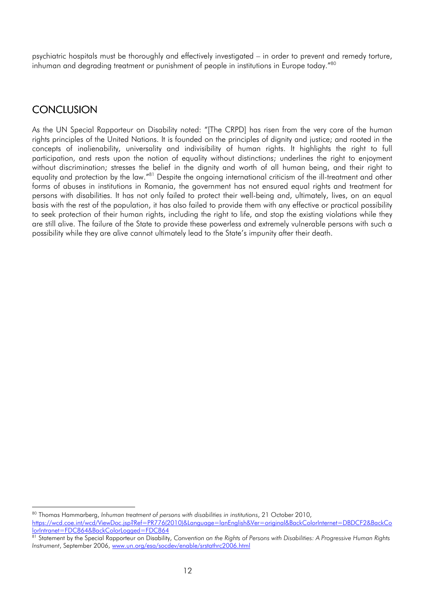psychiatric hospitals must be thoroughly and effectively investigated – in order to prevent and remedy torture, inhuman and degrading treatment or punishment of people in institutions in Europe today." $^{\rm 80}$ 

## **CONCLUSION**

 $\overline{a}$ 

As the UN Special Rapporteur on Disability noted: "[The CRPD] has risen from the very core of the human rights principles of the United Nations. It is founded on the principles of dignity and justice; and rooted in the concepts of inalienability, universality and indivisibility of human rights. It highlights the right to full participation, and rests upon the notion of equality without distinctions; underlines the right to enjoyment without discrimination; stresses the belief in the dignity and worth of all human being, and their right to equality and protection by the law."<sup>81</sup> Despite the ongoing international criticism of the ill-treatment and other forms of abuses in institutions in Romania, the government has not ensured equal rights and treatment for persons with disabilities. It has not only failed to protect their well-being and, ultimately, lives, on an equal basis with the rest of the population, it has also failed to provide them with any effective or practical possibility to seek protection of their human rights, including the right to life, and stop the existing violations while they are still alive. The failure of the State to provide these powerless and extremely vulnerable persons with such a possibility while they are alive cannot ultimately lead to the State's impunity after their death.

<sup>80</sup> Thomas Hammarberg, *Inhuman treatment of persons with disabilities in institutions*, 21 October 2010, https://wcd.coe.int/wcd/ViewDoc.jsp?Ref=PR776(2010)&Language=lanEnglish&Ver=original&BackColorInternet=DBDCF2&BackCo lorIntranet=FDC864&BackColorLogged=FDC864

<sup>81</sup> Statement by the Special Rapporteur on Disability, Convention on the Rights of Persons with Disabilities: A Progressive Human Rights *Instrument*, September 2006, www.un.org/esa/socdev/enable/srstathrc2006.html